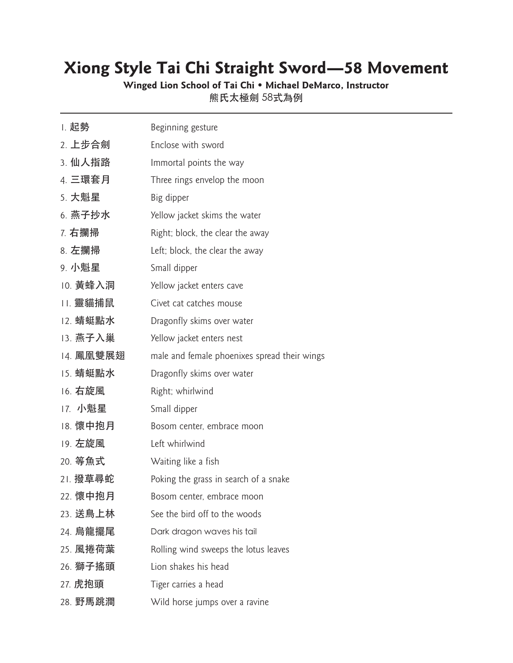## **Xiong Style Tai Chi Straight Sword—58 Movement**

**Winged Lion School of Tai Chi • Michael DeMarco, Instructor** 熊氏太極劍 58式為例

1. 起勢  $Beq$ inning gesture 2. 上步合劍 Enclose with sword 3. 仙人指路 Immortal points the way 4. 三環套月 Three rings envelop the moon 5. 大魁星 Big dipper 6. 燕子抄水 Yellow jacket skims the water 7. 右攔掃  $\overline{a}$  Right; block, the clear the away 8. 左攔掃  $L$ eft; block, the clear the away 9. 小魁星 Small dipper 10. 黃蜂入洞 Yellow jacket enters cave 11. 靈貓捕鼠 Civet cat catches mouse 12. 蜻蜓點水 Dragonfly skims over water 13. 燕子入巢 Yellow jacket enters nest 14. 鳳凰雙展翅 male and female phoenixes spread their wings 15. 蜻蜓點水 Dragonfly skims over water 16. 右旋風 Right; whirlwind 17. 小魁星 Small dipper 18. 懷中抱月 Bosom center, embrace moon 19. 左旋風 Left whirlwind 20. 等魚式 Waiting like a fish 21. 撥草尋蛇 Poking the grass in search of a snake 22. 懷中抱月 Bosom center, embrace moon 23. 送鳥上林 See the bird off to the woods 24. 烏龍擺尾 Dark dragon waves his tail 25. 風捲荷葉 Rolling wind sweeps the lotus leaves 26. 獅子搖頭 Lion shakes his head 27. 虎抱頭  $Tig$ er carries a head 28. 野馬跳澗 Wild horse jumps over a ravine